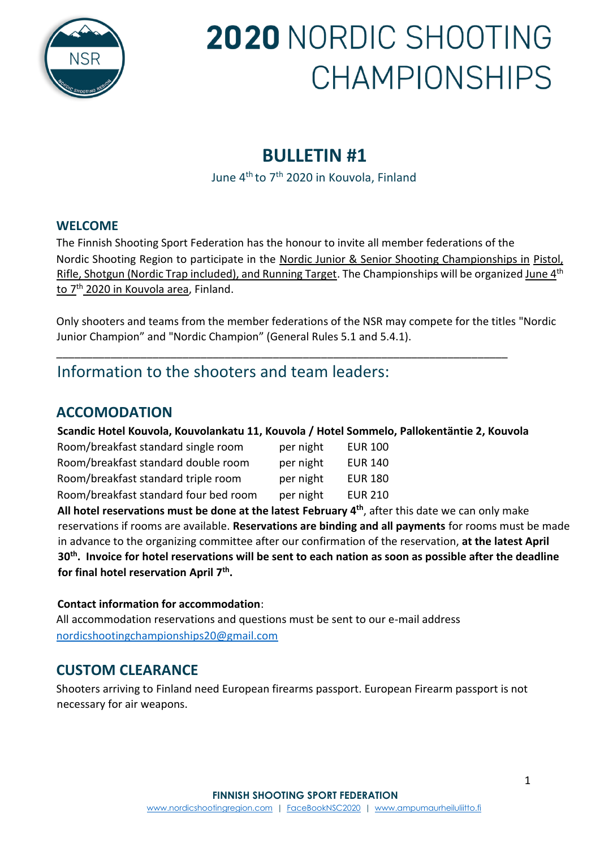

## **BULLETIN #1**

June 4<sup>th</sup> to 7<sup>th</sup> 2020 in Kouvola, Finland

#### **WELCOME**

The Finnish Shooting Sport Federation has the honour to invite all member federations of the Nordic Shooting Region to participate in the Nordic Junior & Senior Shooting Championships in Pistol, Rifle, Shotgun (Nordic Trap included), and Running Target. The Championships will be organized June 4<sup>th</sup> <u>to 7<sup>th</sup> 2020 in Kouvola area</u>, Finland.

Only shooters and teams from the member federations of the NSR may compete for the titles "Nordic Junior Champion" and "Nordic Champion" (General Rules 5.1 and 5.4.1).

## Information to the shooters and team leaders:

### **ACCOMODATION**

**Scandic Hotel Kouvola, Kouvolankatu 11, Kouvola / Hotel Sommelo, Pallokentäntie 2, Kouvola** 

\_\_\_\_\_\_\_\_\_\_\_\_\_\_\_\_\_\_\_\_\_\_\_\_\_\_\_\_\_\_\_\_\_\_\_\_\_\_\_\_\_\_\_\_\_\_\_\_\_\_\_\_\_\_\_\_\_\_\_\_\_\_\_\_\_\_\_\_\_\_\_\_\_\_\_

| Room/breakfast standard single room   | per night | <b>EUR 100</b> |
|---------------------------------------|-----------|----------------|
| Room/breakfast standard double room   | per night | <b>EUR 140</b> |
| Room/breakfast standard triple room   | per night | <b>EUR 180</b> |
| Room/breakfast standard four bed room | per night | <b>EUR 210</b> |

**All hotel reservations must be done at the latest February 4 th**, after this date we can only make reservations if rooms are available. **Reservations are binding and all payments** for rooms must be made in advance to the organizing committee after our confirmation of the reservation, **at the latest April 30th. Invoice for hotel reservations will be sent to each nation as soon as possible after the deadline for final hotel reservation April 7th .**

#### **Contact information for accommodation**:

All accommodation reservations and questions must be sent to our e-mail address [nordicshootingchampionships20@gmail.com](mailto:nordicshootingchampionships20@gmail.com)

## **CUSTOM CLEARANCE**

Shooters arriving to Finland need European firearms passport. European Firearm passport is not necessary for air weapons.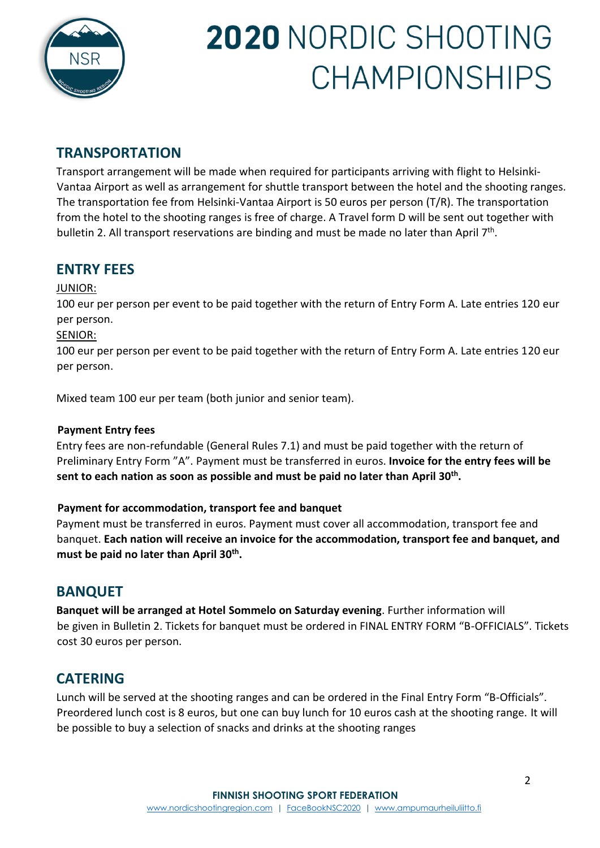

## **TRANSPORTATION**

Transport arrangement will be made when required for participants arriving with flight to Helsinki-Vantaa Airport as well as arrangement for shuttle transport between the hotel and the shooting ranges. The transportation fee from Helsinki-Vantaa Airport is 50 euros per person (T/R). The transportation from the hotel to the shooting ranges is free of charge. A Travel form D will be sent out together with bulletin 2. All transport reservations are binding and must be made no later than April 7<sup>th</sup>.

## **ENTRY FEES**

#### JUNIOR:

100 eur per person per event to be paid together with the return of Entry Form A. Late entries 120 eur per person.

#### SENIOR:

100 eur per person per event to be paid together with the return of Entry Form A. Late entries 120 eur per person.

Mixed team 100 eur per team (both junior and senior team).

#### **Payment Entry fees**

Entry fees are non-refundable (General Rules 7.1) and must be paid together with the return of Preliminary Entry Form "A". Payment must be transferred in euros. **Invoice for the entry fees will be sent to each nation as soon as possible and must be paid no later than April 30th .**

#### **Payment for accommodation, transport fee and banquet**

Payment must be transferred in euros. Payment must cover all accommodation, transport fee and banquet. **Each nation will receive an invoice for the accommodation, transport fee and banquet, and must be paid no later than April 30th .**

#### **BANQUET**

**Banquet will be arranged at Hotel Sommelo on Saturday evening**. Further information will be given in Bulletin 2. Tickets for banquet must be ordered in FINAL ENTRY FORM "B-OFFICIALS". Tickets cost 30 euros per person.

### **CATERING**

Lunch will be served at the shooting ranges and can be ordered in the Final Entry Form "B-Officials". Preordered lunch cost is 8 euros, but one can buy lunch for 10 euros cash at the shooting range. It will be possible to buy a selection of snacks and drinks at the shooting ranges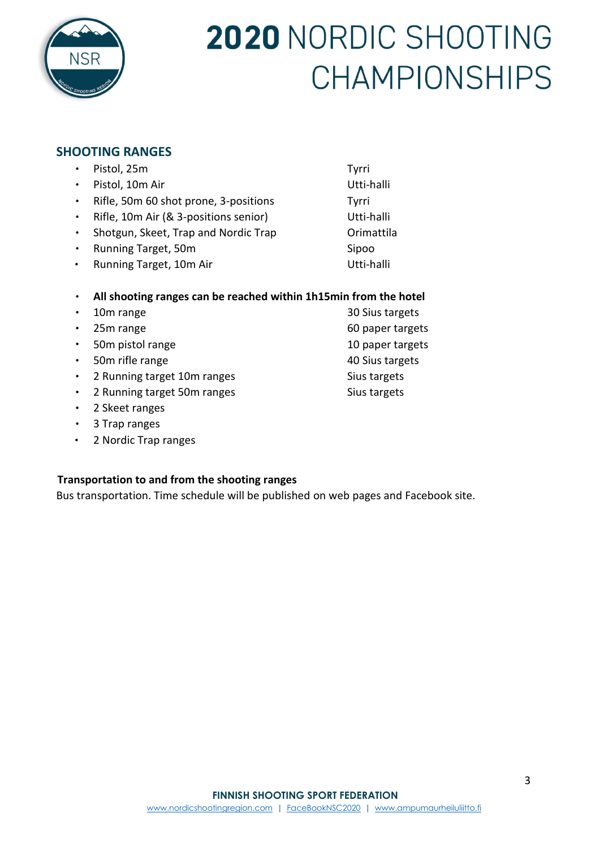

#### **SHOOTING RANGES**

|           | Pistol, 25m                                                      | Tyrri            |
|-----------|------------------------------------------------------------------|------------------|
|           | Pistol, 10m Air                                                  | Utti-halli       |
|           | Rifle, 50m 60 shot prone, 3-positions                            | Tyrri            |
| $\bullet$ | Rifle, 10m Air (& 3-positions senior)                            | Utti-halli       |
| $\bullet$ | Shotgun, Skeet, Trap and Nordic Trap                             | Orimattila       |
|           | Running Target, 50m                                              | Sipoo            |
|           | Running Target, 10m Air                                          | Utti-halli       |
|           | All shooting ranges can be reached within 1h15min from the hotel |                  |
|           | 10m range                                                        | 30 Sius targets  |
|           | 25 <sub>m</sub> range                                            | 60 paper targets |
|           |                                                                  |                  |

- 50m pistol range 10 paper targets
- 50m rifle range 40 Sius targets
- 2 Running target 10m ranges Sius targets
- 2 Running target 50m ranges Sius targets
- 2 Skeet ranges
- 3 Trap ranges
- 2 Nordic Trap ranges

#### **Transportation to and from the shooting ranges**

Bus transportation. Time schedule will be published on web pages and Facebook site.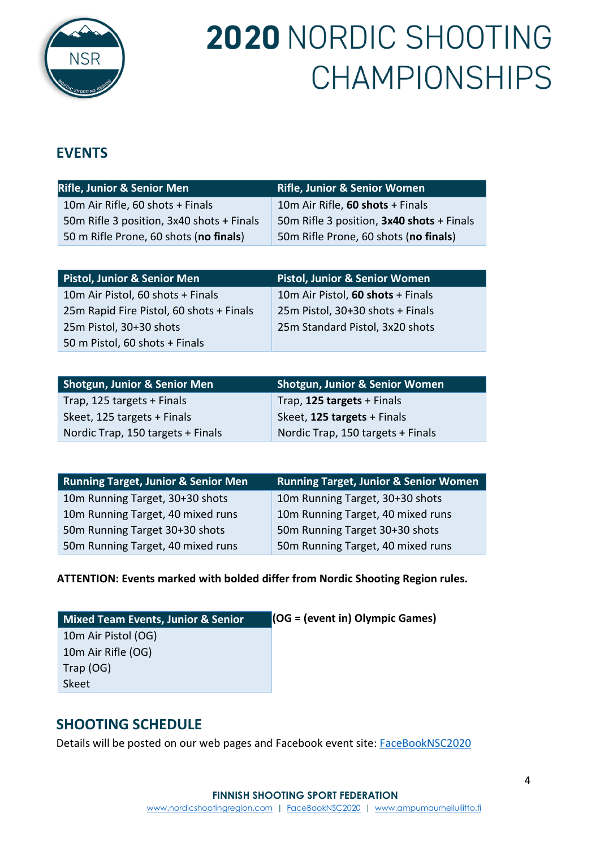

## **EVENTS**

| <b>Rifle, Junior &amp; Senior Men</b>     | <b>Rifle, Junior &amp; Senior Women</b>   |
|-------------------------------------------|-------------------------------------------|
| 10m Air Rifle, 60 shots + Finals          | 10m Air Rifle, 60 shots + Finals          |
| 50m Rifle 3 position, 3x40 shots + Finals | 50m Rifle 3 position, 3x40 shots + Finals |
| 50 m Rifle Prone, 60 shots (no finals)    | 50m Rifle Prone, 60 shots (no finals)     |

| <b>Pistol, Junior &amp; Senior Men</b>   | <b>Pistol, Junior &amp; Senior Women</b> |
|------------------------------------------|------------------------------------------|
| 10m Air Pistol, 60 shots + Finals        | 10m Air Pistol, 60 shots + Finals        |
| 25m Rapid Fire Pistol, 60 shots + Finals | 25m Pistol, 30+30 shots + Finals         |
| 25m Pistol, 30+30 shots                  | 25m Standard Pistol, 3x20 shots          |
| 50 m Pistol, 60 shots + Finals           |                                          |

| <b>Shotgun, Junior &amp; Senior Men</b> | <b>Shotgun, Junior &amp; Senior Women</b> |
|-----------------------------------------|-------------------------------------------|
| Trap, 125 targets + Finals              | Trap, 125 targets + Finals                |
| Skeet, 125 targets + Finals             | Skeet, 125 targets + Finals               |
| Nordic Trap, 150 targets + Finals       | Nordic Trap, 150 targets + Finals         |

| <b>Running Target, Junior &amp; Senior Men</b> | <b>Running Target, Junior &amp; Senior Women</b> |
|------------------------------------------------|--------------------------------------------------|
| 10m Running Target, 30+30 shots                | 10m Running Target, 30+30 shots                  |
| 10m Running Target, 40 mixed runs              | 10m Running Target, 40 mixed runs                |
| 50m Running Target 30+30 shots                 | 50m Running Target 30+30 shots                   |
| 50m Running Target, 40 mixed runs              | 50m Running Target, 40 mixed runs                |

#### **ATTENTION: Events marked with bolded differ from Nordic Shooting Region rules.**

| <b>Mixed Team Events, Junior &amp; Senior</b> | $\vert$ (OG = (event in) Olympic Games) |
|-----------------------------------------------|-----------------------------------------|
| 10m Air Pistol (OG)                           |                                         |
| 10m Air Rifle (OG)                            |                                         |
| Trap (OG)                                     |                                         |
| Skeet                                         |                                         |

### **SHOOTING SCHEDULE**

Details will be posted on our web pages and Facebook event site: [FaceBookNSC2020](https://tiny.cc/fbnsc2020)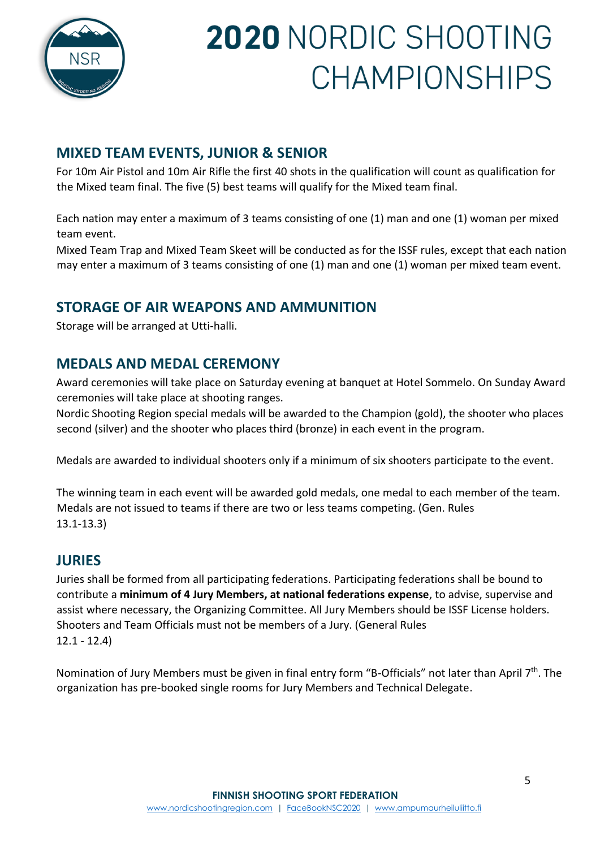

## **MIXED TEAM EVENTS, JUNIOR & SENIOR**

For 10m Air Pistol and 10m Air Rifle the first 40 shots in the qualification will count as qualification for the Mixed team final. The five (5) best teams will qualify for the Mixed team final.

Each nation may enter a maximum of 3 teams consisting of one (1) man and one (1) woman per mixed team event.

Mixed Team Trap and Mixed Team Skeet will be conducted as for the ISSF rules, except that each nation may enter a maximum of 3 teams consisting of one (1) man and one (1) woman per mixed team event.

### **STORAGE OF AIR WEAPONS AND AMMUNITION**

Storage will be arranged at Utti-halli.

### **MEDALS AND MEDAL CEREMONY**

Award ceremonies will take place on Saturday evening at banquet at Hotel Sommelo. On Sunday Award ceremonies will take place at shooting ranges.

Nordic Shooting Region special medals will be awarded to the Champion (gold), the shooter who places second (silver) and the shooter who places third (bronze) in each event in the program.

Medals are awarded to individual shooters only if a minimum of six shooters participate to the event.

The winning team in each event will be awarded gold medals, one medal to each member of the team. Medals are not issued to teams if there are two or less teams competing. (Gen. Rules 13.1-13.3)

### **JURIES**

Juries shall be formed from all participating federations. Participating federations shall be bound to contribute a **minimum of 4 Jury Members, at national federations expense**, to advise, supervise and assist where necessary, the Organizing Committee. All Jury Members should be ISSF License holders. Shooters and Team Officials must not be members of a Jury. (General Rules 12.1 - 12.4)

Nomination of Jury Members must be given in final entry form "B-Officials" not later than April 7<sup>th</sup>. The organization has pre-booked single rooms for Jury Members and Technical Delegate.